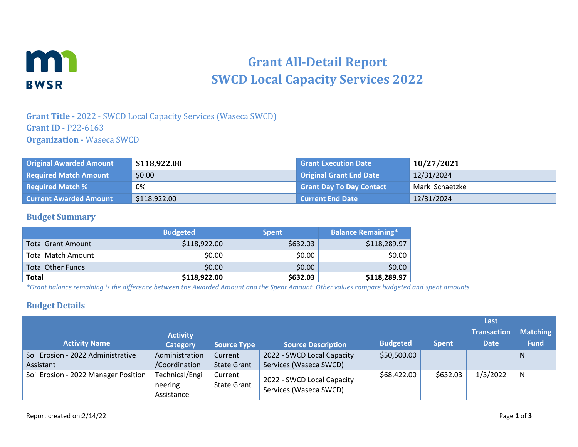

# **Grant All-Detail Report SWCD Local Capacity Services 2022**

### **Grant Title -** 2022 - SWCD Local Capacity Services (Waseca SWCD) **Grant ID** - P22-6163 **Organization -** Waseca SWCD

| <b>Original Awarded Amount</b> | \$118,922.00 | <b>Grant Execution Date</b>     | 10/27/2021     |
|--------------------------------|--------------|---------------------------------|----------------|
| <b>Required Match Amount</b>   | \$0.00       | <b>Original Grant End Date</b>  | 12/31/2024     |
| <b>Required Match %</b>        | 0%           | <b>Grant Day To Day Contact</b> | Mark Schaetzke |
| <b>Current Awarded Amount</b>  | \$118,922.00 | l Current End Date              | 12/31/2024     |

#### **Budget Summary**

|                          | <b>Budgeted</b> | <b>Spent</b> | <b>Balance Remaining*</b> |
|--------------------------|-----------------|--------------|---------------------------|
| Total Grant Amount       | \$118,922.00    | \$632.03     | \$118,289.97              |
| Total Match Amount       | \$0.00          | \$0.00       | \$0.00                    |
| <b>Total Other Funds</b> | \$0.00          | \$0.00       | \$0.00                    |
| <b>Total</b>             | \$118,922.00    | \$632.03     | \$118,289.97              |

*\*Grant balance remaining is the difference between the Awarded Amount and the Spent Amount. Other values compare budgeted and spent amounts.*

#### **Budget Details**

|                                      |                           |                               |                                                      |                 |              | Last               |                 |
|--------------------------------------|---------------------------|-------------------------------|------------------------------------------------------|-----------------|--------------|--------------------|-----------------|
|                                      | <b>Activity</b>           |                               |                                                      |                 |              | <b>Transaction</b> | <b>Matching</b> |
| <b>Activity Name</b>                 | <b>Category</b>           | <b>Source Type</b>            | <b>Source Description</b>                            | <b>Budgeted</b> | <b>Spent</b> | <b>Date</b>        | <b>Fund</b>     |
| Soil Erosion - 2022 Administrative   | Administration            | Current                       | 2022 - SWCD Local Capacity                           | \$50,500.00     |              |                    | <sub>N</sub>    |
| Assistant                            | /Coordination             | <b>State Grant</b>            | Services (Waseca SWCD)                               |                 |              |                    |                 |
| Soil Erosion - 2022 Manager Position | Technical/Engi<br>neering | Current<br><b>State Grant</b> | 2022 - SWCD Local Capacity<br>Services (Waseca SWCD) | \$68,422.00     | \$632.03     | 1/3/2022           | N               |
|                                      | Assistance                |                               |                                                      |                 |              |                    |                 |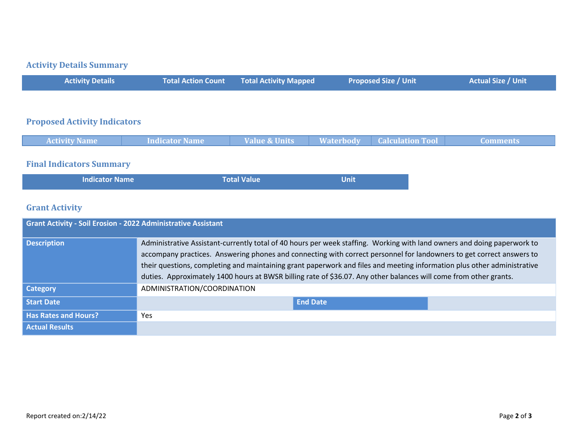# **Activity Details Summary**

| <b>Activity Details</b>             | <b>Total Action Count</b> | <b>Total Activity Mapped</b> | <b>Proposed Size / Unit</b>                 | <b>Actual Size / Unit</b> |
|-------------------------------------|---------------------------|------------------------------|---------------------------------------------|---------------------------|
|                                     |                           |                              |                                             |                           |
| <b>Proposed Activity Indicators</b> |                           |                              |                                             |                           |
| <b>Activity Name</b>                | <b>Indicator Name</b>     | Value & Units                | <b>Waterbody</b><br><b>Calculation Tool</b> | <b>Comments</b>           |
|                                     |                           |                              |                                             |                           |

# **Final Indicators Summary**

| <b>Indicator Name</b> | Total Value | Unit |
|-----------------------|-------------|------|
|-----------------------|-------------|------|

# **Grant Activity**

| <b>Grant Activity - Soil Erosion - 2022 Administrative Assistant</b> |                                                                                                                                                                                                                                                                                                                                                                                                                                                                                                 |  |  |
|----------------------------------------------------------------------|-------------------------------------------------------------------------------------------------------------------------------------------------------------------------------------------------------------------------------------------------------------------------------------------------------------------------------------------------------------------------------------------------------------------------------------------------------------------------------------------------|--|--|
| <b>Description</b>                                                   | Administrative Assistant-currently total of 40 hours per week staffing. Working with land owners and doing paperwork to<br>accompany practices. Answering phones and connecting with correct personnel for landowners to get correct answers to<br>their questions, completing and maintaining grant paperwork and files and meeting information plus other administrative<br>duties. Approximately 1400 hours at BWSR billing rate of \$36.07. Any other balances will come from other grants. |  |  |
| Category                                                             | ADMINISTRATION/COORDINATION                                                                                                                                                                                                                                                                                                                                                                                                                                                                     |  |  |
| <b>Start Date</b>                                                    | <b>End Date</b>                                                                                                                                                                                                                                                                                                                                                                                                                                                                                 |  |  |
| <b>Has Rates and Hours?</b>                                          | <b>Yes</b>                                                                                                                                                                                                                                                                                                                                                                                                                                                                                      |  |  |
| <b>Actual Results</b>                                                |                                                                                                                                                                                                                                                                                                                                                                                                                                                                                                 |  |  |